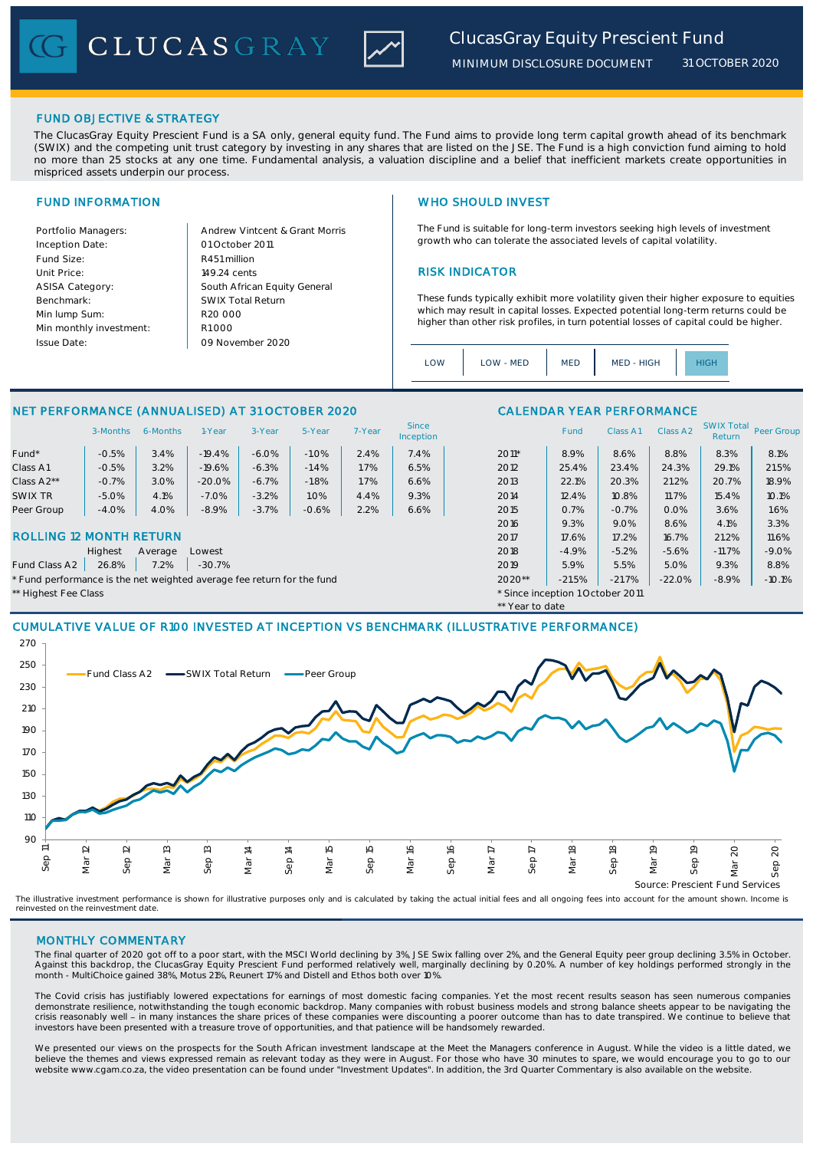CLUCASGRAY



# FUND OBJECTIVE & STRATEGY

The ClucasGray Equity Prescient Fund is a SA only, general equity fund. The Fund aims to provide long term capital growth ahead of its benchmark (SWIX) and the competing unit trust category by investing in any shares that are listed on the JSE. The Fund is a high conviction fund aiming to hold no more than 25 stocks at any one time. Fundamental analysis, a valuation discipline and a belief that inefficient markets create opportunities in mispriced assets underpin our process

Inception Date: Fund Size: R451 million ASISA Category: Benchmark: Min lump Sum: Min monthly investment: Issue Date:

Portfolio Managers: Andrew Vintcent & Grant Morris Unit Price: 149.24 cents **RISK INDICATOR** South African Equity General 149.24 cents  $R1$  000 01 October 2011 09 November 2020 R20 000 SWIX Total Return

### FUND INFORMATION NETWORK IN THE SERVICE SERVICE SERVICE SERVICE SERVICE SERVICE SERVICE SERVICE SERVICE SERVICE SERVICE SERVICE SERVICE SERVICE SERVICE SERVICE SERVICE SERVICE SERVICE SERVICE SERVICE SERVICE SERVICE SERVIC

The Fund is suitable for long-term investors seeking high levels of investment growth who can tolerate the associated levels of capital volatility.

These funds typically exhibit more volatility given their higher exposure to equities which may result in capital losses. Expected potential long-term returns could be higher than other risk profiles, in turn potential losses of capital could be higher.

|  | OW | LOW - MED | <b>MED</b> | MED - HIGH |  |  |
|--|----|-----------|------------|------------|--|--|
|--|----|-----------|------------|------------|--|--|

\*\* Year to date

## NET PERFORMANCE (ANNUALISED) AT 31 OCTOBER 2020 CALENDAR YEAR PERFORMANCE

|            | 3-Months | 6-Months | I-Year   | 3-Year  | 5-Year  | 7-Year | Since<br><b>Inception</b> |         | Fund  | Class A1 | Class A2 | <b>SWIX Total</b><br>Return | Peer Gro |
|------------|----------|----------|----------|---------|---------|--------|---------------------------|---------|-------|----------|----------|-----------------------------|----------|
| Fund*      | $-0.5%$  | 3.4%     | $-19.4%$ | $-6.0%$ | $-1.0%$ | 2.4%   | 7.4%                      | $2011*$ | 8.9%  | 8.6%     | 8.8%     | 8.3%                        | 8.1%     |
| Class A1   | $-0.5%$  | 3.2%     | $-19.6%$ | $-6.3%$ | $-1.4%$ | 1.7%   | 6.5%                      | 2012    | 25.4% | 23.4%    | 24.3%    | 29.1%                       | 21.5%    |
| Class A2** | $-0.7%$  | 3.0%     | $-20.0%$ | $-6.7%$ | $-1.8%$ | 1.7%   | 6.6%                      | 2013    | 22.1% | 20.3%    | 21.2%    | 20.7%                       | 18.9%    |
| SWIX TR    | $-5.0%$  | 4.1%     | $-7.0%$  | $-3.2%$ | 1.0%    | 4.4%   | 9.3%                      | 2014    | 12.4% | 10.8%    | 11.7%    | 15.4%                       | 10.1%    |
| Peer Group | $-4.0%$  | 4.0%     | $-8.9%$  | $-3.7%$ | $-0.6%$ | 2.2%   | 6.6%                      | 2015    | 0.7%  | $-0.7%$  | 0.0%     | 3.6%                        | 1.6%     |
|            |          |          |          |         |         |        |                           | 2016    | 9.3%  | 9.0%     | 8.6%     | 4.1%                        | 3.3%     |

### ROLLING 12 MONTH RETURN 2017 2017 2017 2017 2017 2017 2017 21.2% 21.2% 21.2% 21.2% 21.2% 21.2%

Highest Average Lowest 2018 -4.9% -5.2% -5.6% -11.7% -9.0%

Fund Class A2 | 26.8% | 7.2% | -30.7% 2019 | 2019 | 2019 | 5.9% | 5.5% | 5.0% | 9.3% | 8.8% | 8.8% | 3.9% | 5.0% | 5.0% | 5.0% | 5.0% | 5.0% | 5.0% | 5.0% | 5.0% | 5.0% | 5.0% | 5.0% | 5.0% | 5.0% | 5.0% | 5.0% | 5.0% | 5.

\* Fund performance is the net weighted average fee return for the fund  $2020**$   $-21.5\%$   $-21.7\%$   $-22.0\%$   $-8.9\%$   $-10.1\%$ 

\*\* Highest Fee Class \* Since inception 1 October 2011

# CUMULATIVE VALUE OF R100 INVESTED AT INCEPTION VS BENCHMARK (ILLUSTRATIVE PERFORMANCE)



The illustrative investment performance is shown for illustrative purposes only and is calculated by taking the actual initial fees and all ongoing fees into account for the amount shown. Income is<br>reinvested on the reinve

### MONTHLY COMMENTARY

The final quarter of 2020 got off to a poor start, with the MSCI World declining by 3%, JSE Swix falling over 2%, and the General Equity peer group declining 3.5% in October. Against this backdrop, the ClucasGray Equity Prescient Fund performed relatively well, marginally declining by 0.20%. A number of key holdings performed strongly in the month - MultiChoice gained 38%, Motus 21%, Reunert 17% and Distell and Ethos both over 10%.

The Covid crisis has justifiably lowered expectations for earnings of most domestic facing companies. Yet the most recent results season has seen numerous companies demonstrate resilience, notwithstanding the tough economic backdrop. Many companies with robust business models and strong balance sheets appear to be navigating the<br>crisis reasonably well - in many instances the share pri investors have been presented with a treasure trove of opportunities, and that patience will be handsomely rewarded.

We presented our views on the prospects for the South African investment landscape at the Meet the Managers conference in August. While the video is a little dated, we<br>believe the themes and views expressed remain as relev website www.cgam.co.za, the video presentation can be found under "Investment Updates". In addition, the 3rd Quarter Commentary is also available on the website.

SWIX Total<br>Return Peer Group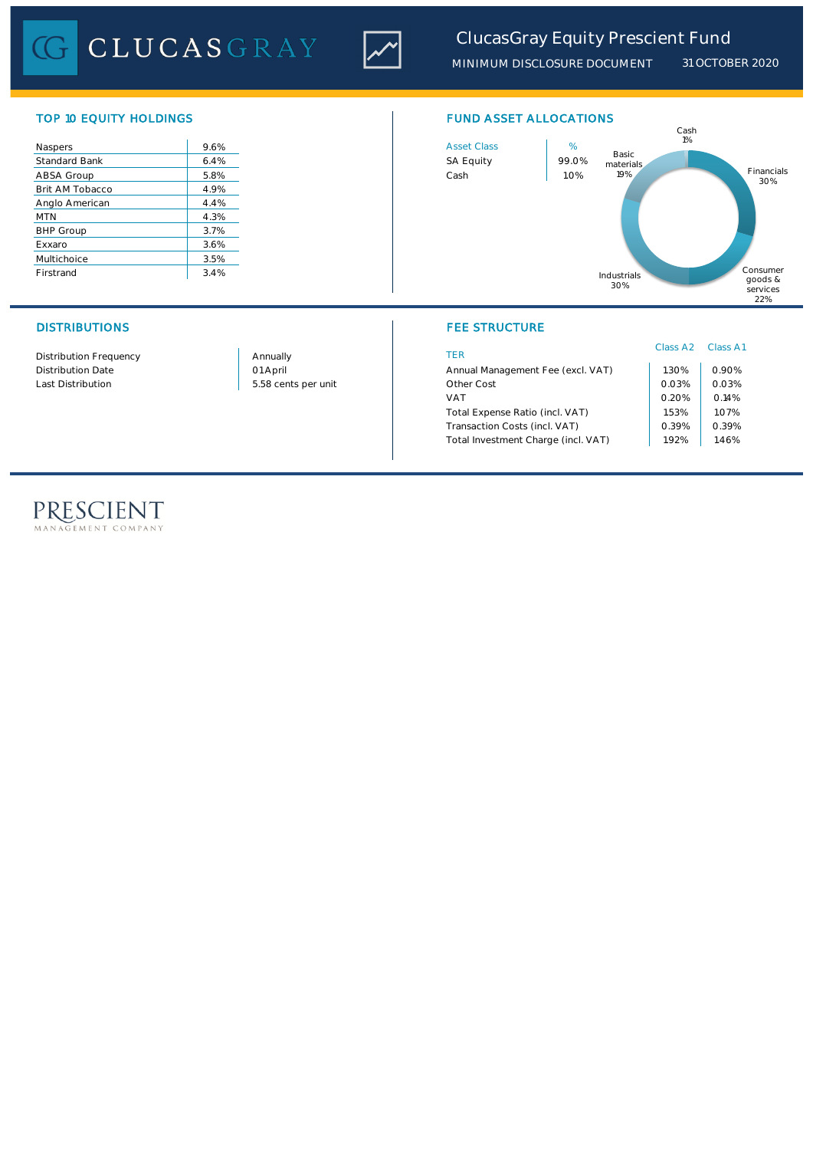

# *ClucasGray Equity Prescient Fund*

*MINIMUM DISCLOSURE DOCUMENT 31 OCTOBER 2020*

| Naspers              | 9.6% |
|----------------------|------|
| <b>Standard Bank</b> | 6.4% |
| ABSA Group           | 5.8% |
| Brit AM Tobacco      | 4.9% |
| Anglo American       | 4.4% |
| <b>MTN</b>           | 4.3% |
| <b>BHP Group</b>     | 3.7% |
| Exxaro               | 3.6% |
| Multichoice          | 3.5% |
| Firstrand            | 3.4% |

Distribution Frequency Distribution Date

Last Distribution 1.03% 0.03% 0.03% 0.03% 0.03% 0.03% 0.03% 0.03% 0.03% 0.03% 0.03% 0.03% 0.03% 0.03% 0.03% 0.0 01 April Annually

# TOP 10 EQUITY HOLDINGS FUND ASSET ALLOCATIONS



# DISTRIBUTIONS FEE STRUCTURE

| <b>TFR</b>                          | Class A2 Class A1 |       |
|-------------------------------------|-------------------|-------|
| Annual Management Fee (excl. VAT)   | 1.30%             | 0.90% |
| Other Cost                          | 0.03%             | 0.03% |
| <b>VAT</b>                          | 0.20%             | 0.14% |
| Total Expense Ratio (incl. VAT)     | 1.53%             | 1.07% |
| Transaction Costs (incl. VAT)       | 0.39%             | 0.39% |
| Total Investment Charge (incl. VAT) | 192%              | 1.46% |